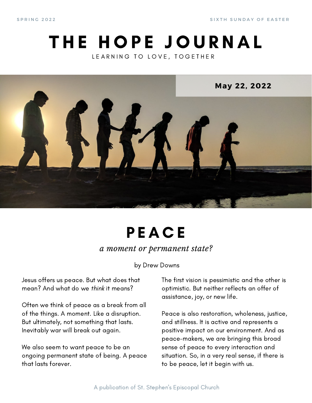S PRING 2022 SINTH SUNDAY OF EASTER

### THE HOPE JOURNAL LEARNING TO LOVE, TOGETHER



# **PEACE**

*a moment or permanent state?*

by Drew Downs

Jesus offers us peace. But what does that mean? And what do we think it means?

Often we think of peace as a break from all of the things. A moment. Like a disruption. But ultimately, not something that lasts. Inevitably war will break out again.

We also seem to want peace to be an ongoing permanent state of being. A peace that lasts forever.

The first vision is pessimistic and the other is optimistic. But neither reflects an offer of assistance, joy, or new life.

Peace is also restoration, wholeness, justice, and stillness. It is active and represents a positive impact on our environment. And as peace-makers, we are bringing this broad sense of peace to every interaction and situation. So, in a very real sense, if there is to be peace, let it begin with us.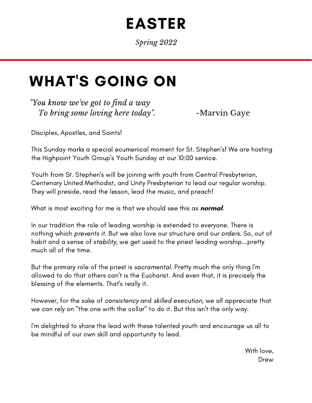## EASTER

*Spring 2022*

### WHAT'S GOING ON

*"You know we've got to find a way To bring some loving here today*". -Marvin Gaye

Disciples, Apostles, and Saints!

This Sunday marks a special ecumenical moment for St. Stephen's! We are hosting the Highpoint Youth Group's Youth Sunday at our 10:00 service.

Youth from St. Stephen's will be joining with youth from Central Presbyterian, Centenary United Methodist, and Unity Presbyterian to lead our regular worship. They will preside, read the lesson, lead the music, and preach!

What is most exciting for me is that we should see this as **normal**.

In our tradition the role of leading worship is extended to everyone. There is nothing which prevents it. But we also love our structure and our orders. So, out of habit and a sense of stability, we get used to the priest leading worship...pretty much all of the time.

But the primary role of the priest is sacramental. Pretty much the only thing I'm allowed to do that others can't is the Eucharist. And even that, it is precisely the blessing of the elements. That's really it.

However, for the sake of consistency and skilled execution, we all appreciate that we can rely on "the one with the collar" to do it. But this isn't the only way.

I'm delighted to share the lead with these talented youth and encourage us all to be mindful of our own skill and opportunity to lead.

> With love, Drew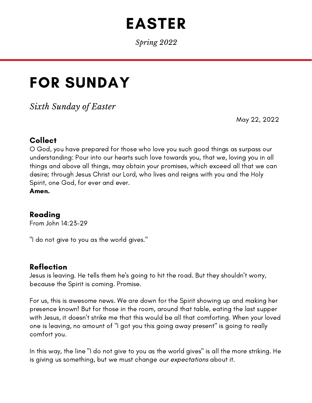## EASTER

*Spring 2022*

## FOR SUNDAY

*Sixth Sunday of Easter*

May 22, 2022

#### Collect

O God, you have prepared for those who love you such good things as surpass our understanding: Pour into our hearts such love towards you, that we, loving you in all things and above all things, may obtain your promises, which exceed all that we can desire; through Jesus Christ our Lord, who lives and reigns with you and the Holy Spirit, one God, for ever and ever.

Amen.

#### Reading

From John 14:23-29

"I do not give to you as the world gives."

#### Reflection

Jesus is leaving. He tells them he's going to hit the road. But they shouldn't worry, because the Spirit is coming. Promise.

For us, this is awesome news. We are down for the Spirit showing up and making her presence known! But for those in the room, around that table, eating the last supper with Jesus, it doesn't strike me that this would be all that comforting. When your loved one is leaving, no amount of "I got you this going away present" is going to really comfort you.

In this way, the line "I do not give to you as the world gives" is all the more striking. He is giving us something, but we must change our expectations about it.